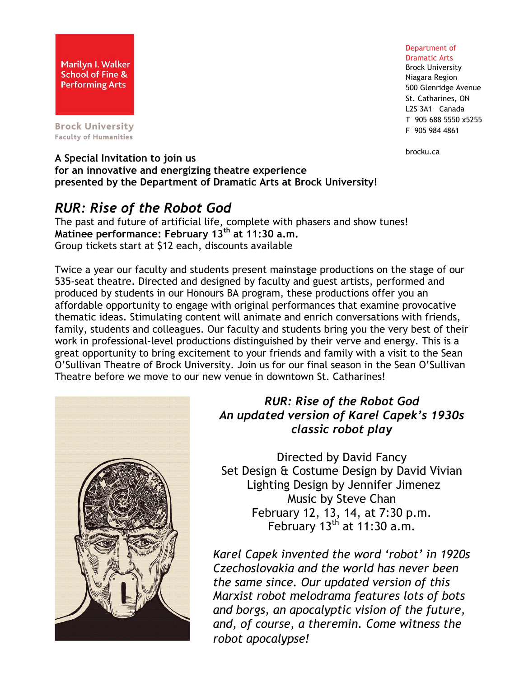

**Brock University Faculty of Humanities** 

Department of Dramatic Arts

Brock University Niagara Region 500 Glenridge Avenue St. Catharines, ON L2S 3A1 Canada T 905 688 5550 x5255 F 905 984 4861

brocku.ca

#### **A Special Invitation to join us for an innovative and energizing theatre experience presented by the Department of Dramatic Arts at Brock University!**

# *RUR: Rise of the Robot God*

The past and future of artificial life, complete with phasers and show tunes! **Matinee performance: February 13th at 11:30 a.m.** Group tickets start at \$12 each, discounts available

Twice a year our faculty and students present mainstage productions on the stage of our 535-seat theatre. Directed and designed by faculty and guest artists, performed and produced by students in our Honours BA program, these productions offer you an affordable opportunity to engage with original performances that examine provocative thematic ideas. Stimulating content will animate and enrich conversations with friends, family, students and colleagues. Our faculty and students bring you the very best of their work in professional-level productions distinguished by their verve and energy. This is a great opportunity to bring excitement to your friends and family with a visit to the Sean O'Sullivan Theatre of Brock University. Join us for our final season in the Sean O'Sullivan Theatre before we move to our new venue in downtown St. Catharines!



# *RUR: Rise of the Robot God An updated version of Karel Capek's 1930s classic robot play*

Directed by David Fancy Set Design & Costume Design by David Vivian Lighting Design by Jennifer Jimenez Music by Steve Chan February 12, 13, 14, at 7:30 p.m. February  $13<sup>th</sup>$  at 11:30 a.m.

*Karel Capek invented the word 'robot' in 1920s Czechoslovakia and the world has never been the same since. Our updated version of this Marxist robot melodrama features lots of bots and borgs, an apocalyptic vision of the future, and, of course, a theremin. Come witness the robot apocalypse!*